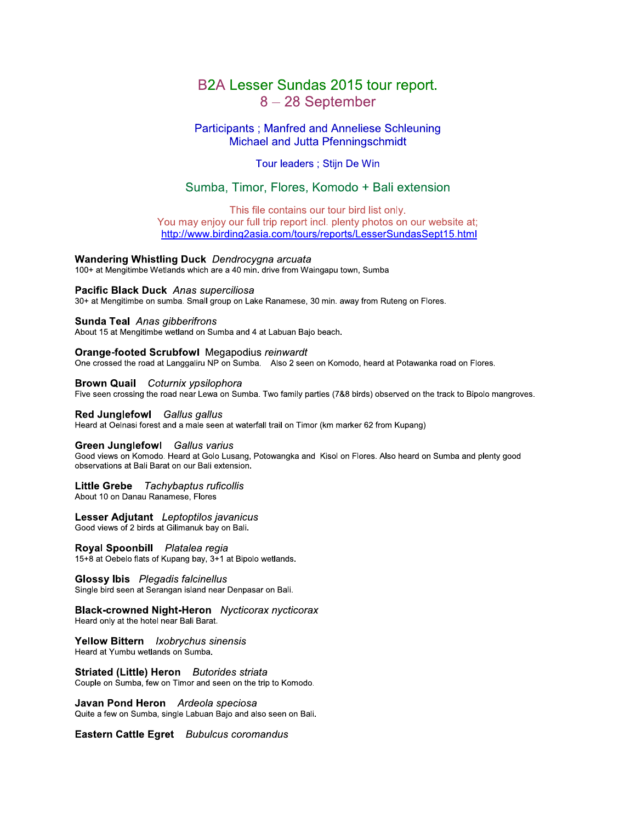# B2A Lesser Sundas 2015 tour report. 8-28 September

# **Participants ; Manfred and Anneliese Schleuning** Michael and Jutta Pfenningschmidt

# Tour leaders ; Stijn De Win

# Sumba, Timor, Flores, Komodo + Bali extension

This file contains our tour bird list only. You may enjoy our full trip report incl. plenty photos on our website at;

http://www.birding2asia.com/tours/reports/LesserSundasSept15.html

## **Wandering Whistling Duck** Dendrocygna arcuata

100+ at Mengitimbe Wetlands which are a 40 min. drive from Waingapu town, Sumba

Pacific Black Duck Anas superciliosa 30+ at Mengitimbe on sumba. Small group on Lake Ranamese, 30 min. away from Ruteng on Flores.

## Sunda Teal Anas gibberifrons

About 15 at Mengitimbe wetland on Sumba and 4 at Labuan Bajo beach.

**Orange-footed Scrubfowl Megapodius reinwardt** 

One crossed the road at Langgaliru NP on Sumba. Also 2 seen on Komodo, heard at Potawanka road on Flores.

**Brown Quail** Coturnix ypsilophora

Five seen crossing the road near Lewa on Sumba. Two family parties (7&8 birds) observed on the track to Bipolo mangroves.

#### Red Junglefowl Gallus gallus

Heard at Oelnasi forest and a male seen at waterfall trail on Timor (km marker 62 from Kupang)

## Green Junglefowl Gallus varius

Good views on Komodo. Heard at Golo Lusang, Potowangka and Kisol on Flores. Also heard on Sumba and plenty good observations at Bali Barat on our Bali extension.

## Little Grebe Tachybaptus ruficollis

About 10 on Danau Ranamese, Flores

Lesser Adjutant Leptoptilos javanicus Good views of 2 birds at Gilimanuk bay on Bali.

Royal Spoonbill Platalea regia 15+8 at Oebelo flats of Kupang bay, 3+1 at Bipolo wetlands.

**Glossy Ibis** Plegadis falcinellus Single bird seen at Serangan island near Denpasar on Bali.

**Black-crowned Night-Heron** Nycticorax nycticorax Heard only at the hotel near Bali Barat.

**Yellow Bittern** Ixobrychus sinensis Heard at Yumbu wetlands on Sumba.

**Striated (Little) Heron** Butorides striata Couple on Sumba, few on Timor and seen on the trip to Komodo.

Javan Pond Heron Ardeola speciosa Quite a few on Sumba, single Labuan Bajo and also seen on Bali.

Eastern Cattle Egret Bubulcus coromandus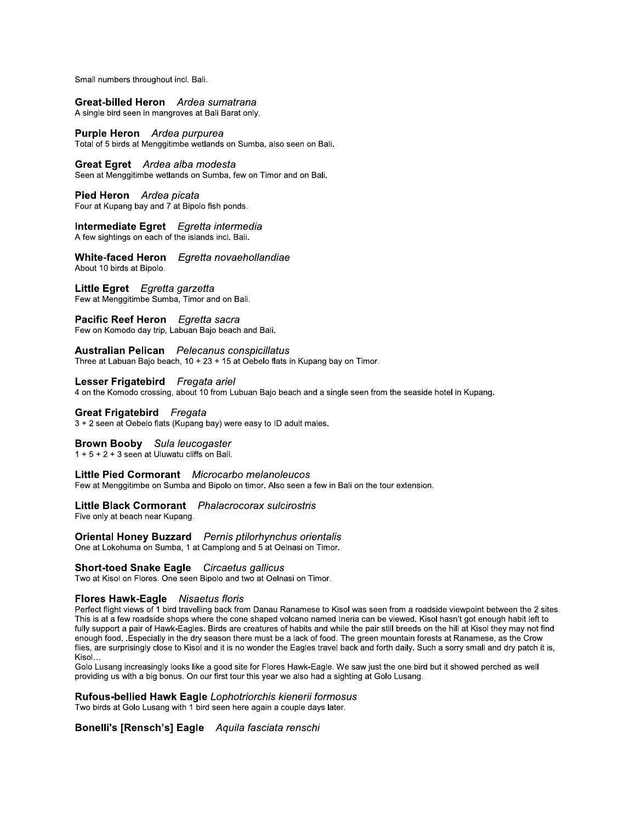Small numbers throughout incl. Bali.

#### Great-billed Heron Ardea sumatrana A single bird seen in mangroves at Bali Barat only.

**Purple Heron** Ardea purpurea Total of 5 birds at Menggitimbe wetlands on Sumba, also seen on Bali.

Great Egret Ardea alba modesta Seen at Menggitimbe wetlands on Sumba, few on Timor and on Bali.

Pied Heron Ardea picata Four at Kupang bay and 7 at Bipolo fish ponds.

# Intermediate Egret Egretta intermedia

A few sightings on each of the islands incl. Bali.

White-faced Heron Egretta novaehollandiae About 10 birds at Bipolo.

Little Egret Egretta garzetta Few at Menggitimbe Sumba. Timor and on Bali.

# Pacific Reef Heron Egretta sacra

Few on Komodo day trip, Labuan Bajo beach and Bali.

## **Australian Pelican** Pelecanus conspicillatus

Three at Labuan Bajo beach, 10 + 23 + 15 at Oebelo flats in Kupang bay on Timor.

## Lesser Frigatebird Fregata ariel

4 on the Komodo crossing, about 10 from Lubuan Bajo beach and a single seen from the seaside hotel in Kupang.

## **Great Frigatebird** Fregata

3 + 2 seen at Oebelo flats (Kupang bay) were easy to ID adult males.

## **Brown Booby** Sula leucogaster

 $1 + 5 + 2 + 3$  seen at Uluwatu cliffs on Bali.

### Little Pied Cormorant Microcarbo melanoleucos

Few at Menggitimbe on Sumba and Bipolo on timor. Also seen a few in Bali on the tour extension.

# Little Black Cormorant Phalacrocorax sulcirostris

Five only at beach near Kupang.

**Oriental Honey Buzzard** Pernis ptilorhynchus orientalis One at Lokohuma on Sumba, 1 at Camplong and 5 at Oelnasi on Timor.

**Short-toed Snake Eagle** Circaetus gallicus

Two at Kisol on Flores. One seen Bipolo and two at Oelnasi on Timor.

## Flores Hawk-Eagle Nisaetus floris

Perfect flight views of 1 bird travelling back from Danau Ranamese to Kisol was seen from a roadside viewpoint between the 2 sites. This is at a few roadside shops where the cone shaped volcano named Ineria can be viewed. Kisol hasn't got enough habit left to fully support a pair of Hawk-Eagles. Birds are creatures of habits and while the pair still breeds on the hill at Kisol they may not find enough food. Especially in the dry season there must be a lack of food. The green mountain forests at Ranamese, as the Crow flies, are surprisingly close to Kisol and it is no wonder the Eagles travel back and forth daily. Such a sorry small and dry patch it is, Kisol...

Golo Lusang increasingly looks like a good site for Flores Hawk-Eagle. We saw just the one bird but it showed perched as well providing us with a big bonus. On our first tour this year we also had a sighting at Golo Lusang.

## Rufous-bellied Hawk Eagle Lophotriorchis kienerii formosus

Two birds at Golo Lusang with 1 bird seen here again a couple days later.

# Bonelli's [Rensch's] Eagle Aquila fasciata renschi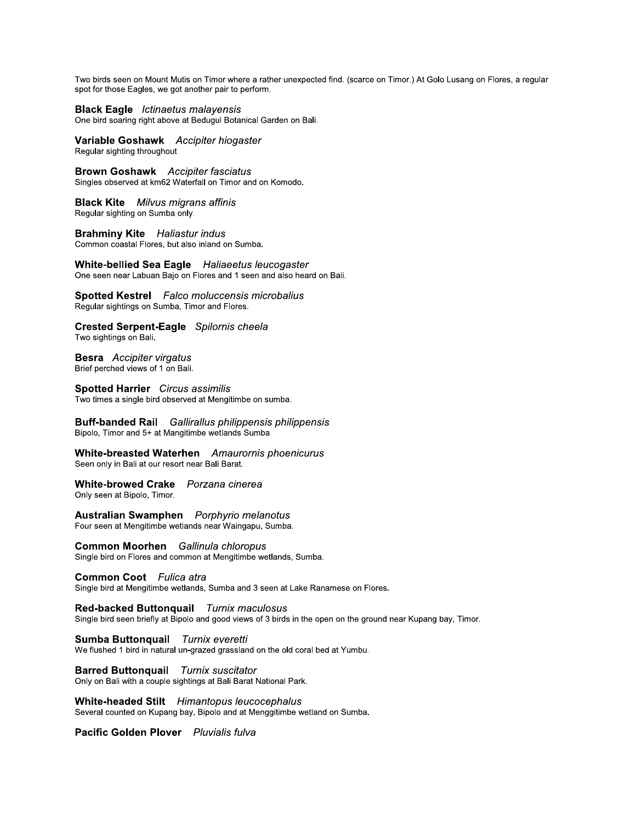I wo birds seen on Mount Mutis on Timor where a rather unexpected find. (scarce on Timor.) At Golo Lusang on Flores, a regular spot for those Eagles, we got another pair to perform.

**Black Eagle** Ictinaetus malayensis

e bira soaring right above at Bedugui Botanical Garden on Ball.

Two birds seen on Mount Mutis on Timor where<br>
spot for those Eagles, we got another pair to per<br> **Black Eagle** Ictinaetus malayensis<br>
One bird soaring right above at Bedugul Botanic<br> **Variable Goshawk** Accipiter hiogast<br>
R **variable Goshawk** Accipiter hiogaster Regular sighting throughout

**Brown Gosnawk** Accipiter fasciatus Singles observed at km62 waterrall on Timor and on Komodo.

**BIACK KITE** MIIVUS migrans attinis Regular signting on Sumba only.

**Branminy Kite** Hallastur indus Common coastal Flores, but also inland on Sumba.

White-bellied Sea Eagle Haliaeetus leucogaster **Brown Goshawk** Accipiter fasciatus<br>
Singles observed at km62 Waterfall on Timor and on Komodo.<br> **Black Kite** Milvus migrans affinis<br>
Regular sighting on Sumba only.<br> **Brahminy Kite** Haliastur indus<br>
Common coastal Flores, e seen near Labuan Bajo on Flores and 1 seen and also heard on Ball. **Brahminy Kite** Haliastur indus<br>
Common coastal Flores, but also inland on Sumba.<br> **White-bellied Sea Eagle** Haliaeetus leuco<br>
One seen near Labuan Bajo on Flores and 1 seen and 3<br> **Spotted Kestrel** Falco moluccensis micro

 Spotted Kestrel *Faico moluccensis micropalius* Regular signtings on Sumba, Timor and Flores.

**Crested Serpent-Eagle** Spilornis cheela signtings on Bail.

**Besra** Accipiter virgatus Brief perched views of 1 on Ball.

**Spotted Harrier** Circus assimilis Two times a single bird observed at Mengltimbe on sumba.

Buff-banded Rail Gallirallus philippensis philippensis Bipolo, Timor and 5+ at Mangitimbe wetlands Sumba

white-breasted waternen Amaurornis phoenicurus Seen only in Bail at our resort near Bail Barat.

white-browed Crake Porzana cinerea Only seen at Bipolo, Timor.

 Australian Swamphen - *Porphyrio melanotus*<br>-Four seen at Mengitimbe wetlands near Waingapu, Sumba.

s. **Common Moornen** Gallinula chloropus Single bird on Flores and common at Mengltimbe wetlands, Sumba.

 $\mathbb{R}^2$ **Common Coot** Fullca atra

Single bird at Mengitimbe wetlands, Sumba and 3 seen at Lake Ranamese on Flores.

L.  $\kappa$ ed-backed Buttonquali burnix maculosus Single bird seen briefly at Bipolo and good views of 3 birds in the open on the ground near Kupang bay, Timor.

Sumba Buttonquali *Turnix everetti* we flushed 1 bird in hatural un-grazed grassiand on the old coral bed at Yumbu.

Barred Buttonquall *lurnix suscitator* Only on Bail with a couple signtings at Bail Barat National Park.

 $\frac{1}{2}$  white-headed Stilt Himantopus leucocephalus Several counted on Kupang bay, Bipolo and at Menggitimbe wetland on Sumba.

 Pacific Golden Plover Pluvialis fuiva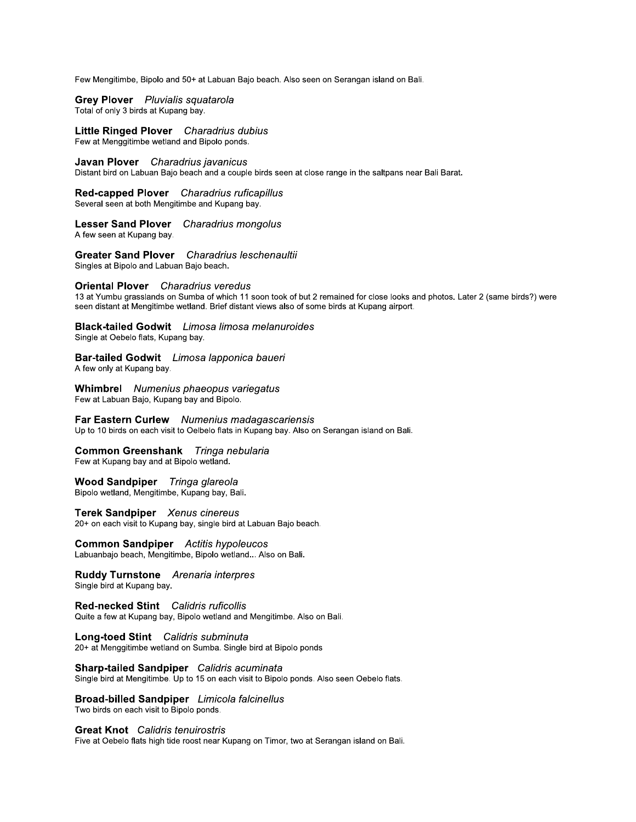Few Mengitimbe, Bipolo and 50+ at Labuan Bajo beach. Also seen on Serangan island on Bali.

Grey Plover Pluvialis squatarola Total of only 3 birds at Kupang bay.

Little Ringed Plover Charadrius dubius Few at Menggitimbe wetland and Bipolo ponds.

Javan Plover Charadrius javanicus

Distant bird on Labuan Bajo beach and a couple birds seen at close range in the saltpans near Bali Barat.

Red-capped Plover Charadrius ruficapillus Several seen at both Mengitimbe and Kupang bay.

Lesser Sand Plover Charadrius mongolus A few seen at Kupang bay.

**Greater Sand Plover** Charadrius leschenaultii Singles at Bipolo and Labuan Bajo beach.

**Oriental Plover** Charadrius veredus

13 at Yumbu grasslands on Sumba of which 11 soon took of but 2 remained for close looks and photos. Later 2 (same birds?) were seen distant at Mengitimbe wetland. Brief distant views also of some birds at Kupang airport.

**Black-tailed Godwit** Limosa limosa melanuroides Single at Oebelo flats, Kupang bay.

Bar-tailed Godwit Limosa lapponica baueri A few only at Kupang bay.

**Whimbrel** Numenius phaeopus variegatus Few at Labuan Bajo, Kupang bay and Bipolo.

Far Eastern Curlew Numenius madagascariensis Up to 10 birds on each visit to Oelbelo flats in Kupang bay. Also on Serangan island on Bali.

Common Greenshank Tringa nebularia

Few at Kupang bay and at Bipolo wetland.

## Wood Sandpiper Tringa glareola

Bipolo wetland, Mengitimbe, Kupang bay, Bali.

Terek Sandpiper Xenus cinereus

20+ on each visit to Kupang bay, single bird at Labuan Bajo beach.

**Common Sandpiper** Actitis hypoleucos Labuanbajo beach, Mengitimbe, Bipolo wetland... Also on Bali.

Ruddy Turnstone Arenaria interpres Single bird at Kupang bay.

Red-necked Stint Calidris ruficollis Quite a few at Kupang bay, Bipolo wetland and Mengitimbe. Also on Bali.

Long-toed Stint Calidris subminuta 20+ at Menggitimbe wetland on Sumba. Single bird at Bipolo ponds

Sharp-tailed Sandpiper Calidris acuminata Single bird at Mengitimbe. Up to 15 on each visit to Bipolo ponds. Also seen Oebelo flats.

**Broad-billed Sandpiper** Limicola falcinellus Two birds on each visit to Bipolo ponds.

## **Great Knot** Calidris tenuirostris

Five at Oebelo flats high tide roost near Kupang on Timor, two at Serangan island on Bali.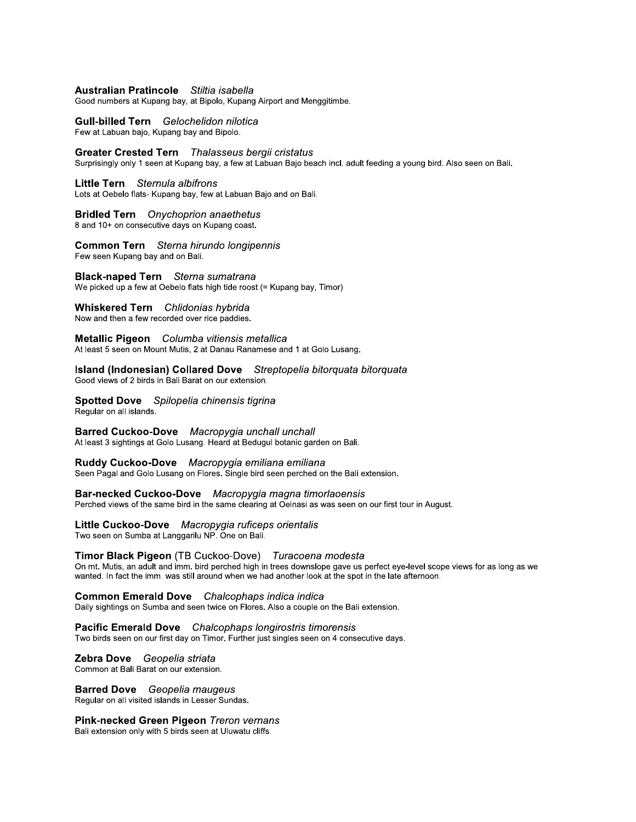## **Australian Pratincole** Stiltia isabella

Good numbers at Kupang bay, at Bipolo, Kupang Airport and Menggitimbe.

**Gull-billed Tern** Gelochelidon nilotica Few at Labuan bajo, Kupang bay and Bipolo.

Greater Crested Tern Thalasseus bergii cristatus Surprisingly only 1 seen at Kupang bay, a few at Labuan Bajo beach incl. adult feeding a young bird. Also seen on Bali.

Little Tern Sternula albifrons

Lots at Oebelo flats- Kupang bay, few at Labuan Bajo and on Bali.

**Bridled Tern** Onychoprion anaethetus

8 and 10+ on consecutive days on Kupang coast.

Common Tern Sterna hirundo longipennis Few seen Kupang bay and on Bali.

**Black-naped Tern** Sterna sumatrana We picked up a few at Oebelo flats high tide roost (= Kupang bay, Timor)

## Whiskered Tern Chlidonias hybrida

Now and then a few recorded over rice paddies.

Metallic Pigeon Columba vitiensis metallica At least 5 seen on Mount Mutis, 2 at Danau Ranamese and 1 at Golo Lusang.

Island (Indonesian) Collared Dove Streptopelia bitorquata bitorquata

Good views of 2 birds in Bali Barat on our extension.

Spotted Dove Spilopelia chinensis tigrina Regular on all islands.

Barred Cuckoo-Dove Macropygia unchall unchall At least 3 sightings at Golo Lusang. Heard at Bedugul botanic garden on Bali.

Ruddy Cuckoo-Dove Macropygia emiliana emiliana Seen Pagal and Golo Lusang on Flores. Single bird seen perched on the Bali extension.

Bar-necked Cuckoo-Dove Macropygia magna timorlaoensis Perched views of the same bird in the same clearing at Oelnasi as was seen on our first tour in August.

Little Cuckoo-Dove Macropygia ruficeps orientalis

Two seen on Sumba at Langgarilu NP. One on Bali.

## Timor Black Pigeon (TB Cuckoo-Dove) Turacoena modesta

On mt. Mutis, an adult and imm. bird perched high in trees downslope gave us perfect eye-level scope views for as long as we wanted. In fact the imm. was still around when we had another look at the spot in the late afternoon.

### **Common Emerald Dove** Chalcophaps indica indica

Daily sightings on Sumba and seen twice on Flores. Also a couple on the Bali extension.

**Pacific Emerald Dove** Chalcophaps longirostris timorensis Two birds seen on our first day on Timor. Further just singles seen on 4 consecutive days.

#### Zebra Dove Geopelia striata

Common at Bali Barat on our extension.

## **Barred Dove** Geopelia maugeus

Regular on all visited islands in Lesser Sundas.

Pink-necked Green Pigeon Treron vernans

Bali extension only with 5 birds seen at Uluwatu cliffs.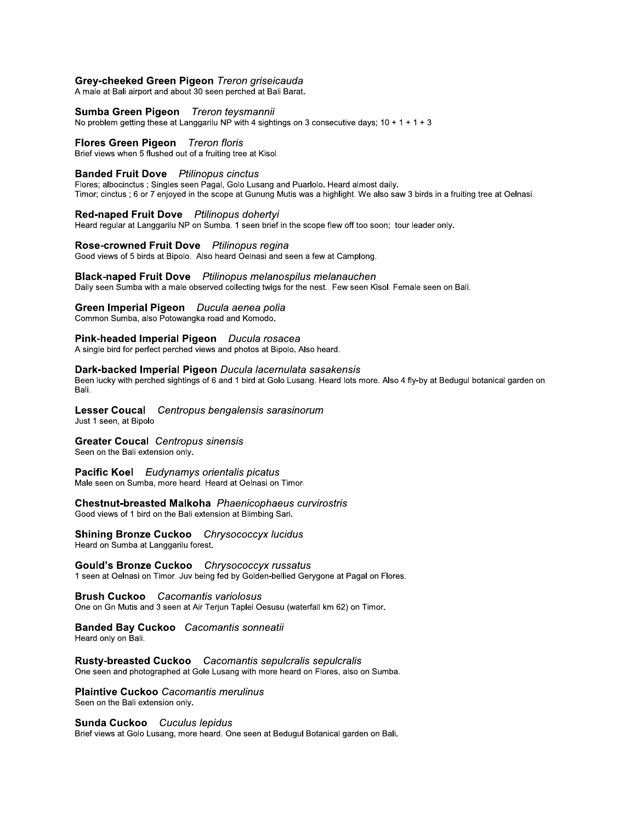## Grey-cheeked Green Pigeon Treron griseicauda

A male at Bali airport and about 30 seen perched at Bali Barat.

#### Sumba Green Pigeon Treron teysmannii

No problem getting these at Langgarilu NP with 4 sightings on 3 consecutive days;  $10 + 1 + 1 + 3$ 

### Flores Green Pigeon Treron floris

Brief views when 5 flushed out of a fruiting tree at Kisol.

## **Banded Fruit Dove** Ptilinopus cinctus

Flores; albocinctus ; Singles seen Pagal, Golo Lusang and Puarlolo. Heard almost daily. Timor; cinctus ; 6 or 7 enjoyed in the scope at Gunung Mutis was a highlight. We also saw 3 birds in a fruiting tree at Oelnasi.

#### Red-naped Fruit Dove Ptilinopus dohertyi

Heard regular at Langgarily NP on Sumba, 1 seen brief in the scope flew off too soon; tour leader only.

## Rose-crowned Fruit Dove Ptilinopus regina

Good views of 5 birds at Bipolo. Also heard Oelnasi and seen a few at Camplong.

#### **Black-naped Fruit Dove** Ptilinopus melanospilus melanauchen

Daily seen Sumba with a male observed collecting twigs for the nest.. Few seen Kisol. Female seen on Bali.

## Green Imperial Pigeon Ducula aenea polia

Common Sumba, also Potowangka road and Komodo.

# Pink-headed Imperial Pigeon Ducula rosacea

A single bird for perfect perched views and photos at Bipolo. Also heard.

#### Dark-backed Imperial Pigeon Ducula lacernulata sasakensis

Been lucky with perched sightings of 6 and 1 bird at Golo Lusang. Heard lots more. Also 4 fly-by at Bedugul botanical garden on Bali.

#### Lesser Coucal Centropus bengalensis sarasinorum Just 1 seen, at Bipolo

**Greater Coucal** Centropus sinensis Seen on the Bali extension only.

#### **Pacific Koel** Eudynamys orientalis picatus Male seen on Sumba, more heard. Heard at Oelnasi on Timor.

# Chestnut-breasted Malkoha Phaenicophaeus curvirostris

Good views of 1 bird on the Bali extension at Blimbing Sari.

#### **Shining Bronze Cuckoo** Chrysococcyx lucidus Heard on Sumba at Langgarilu forest.

Gould's Bronze Cuckoo Chrysococcyx russatus 1 seen at Oelnasi on Timor. Juv being fed by Golden-bellied Gerygone at Pagal on Flores.

**Brush Cuckoo** Cacomantis variolosus One on Gn Mutis and 3 seen at Air Terjun Taplel Oesusu (waterfall km 62) on Timor.

#### **Banded Bay Cuckoo** Cacomantis sonneatii Heard only on Bali.

**Rusty-breasted Cuckoo** Cacomantis sepulcralis sepulcralis

One seen and photographed at Gole Lusang with more heard on Flores, also on Sumba.

## **Plaintive Cuckoo Cacomantis merulinus** Seen on the Bali extension only.

Sunda Cuckoo Cuculus lepidus

Brief views at Golo Lusang, more heard. One seen at Bedugul Botanical garden on Bali.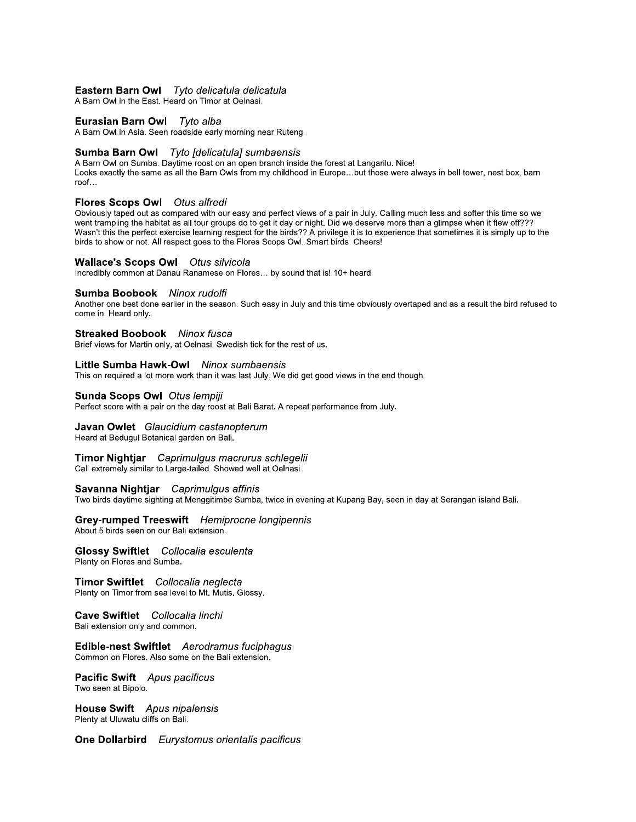## Eastern Barn Owl Tyto delicatula delicatula

A Barn Owl in the East. Heard on Timor at Oelnasi.

### Eurasian Barn Owl Tyto alba

A Barn Owl in Asia. Seen roadside early morning near Ruteng.

#### Sumba Barn Owl Tyto [delicatula] sumbaensis

A Barn Owl on Sumba. Daytime roost on an open branch inside the forest at Langarilu. Nice!

Looks exactly the same as all the Barn Owls from my childhood in Europe...but those were always in bell tower, nest box, barn roof...

## Flores Scops Owl Otus alfredi

Obviously taped out as compared with our easy and perfect views of a pair in July. Calling much less and softer this time so we went trampling the habitat as all tour groups do to get it day or night. Did we deserve more than a glimpse when it flew off??? Wasn't this the perfect exercise learning respect for the birds?? A privilege it is to experience that sometimes it is simply up to the birds to show or not. All respect goes to the Flores Scops Owl. Smart birds. Cheers!

## **Wallace's Scops Owl** Otus silvicola

Incredibly common at Danau Ranamese on Flores... by sound that is! 10+ heard.

#### Sumba Boobook Ninox rudolfi

Another one best done earlier in the season. Such easy in July and this time obviously overtaped and as a result the bird refused to come in. Heard only.

#### **Streaked Boobook** Ninox fusca

Brief views for Martin only, at Oelnasi. Swedish tick for the rest of us.

## Little Sumba Hawk-Owl Ninox sumbaensis

This on required a lot more work than it was last July. We did get good views in the end though.

#### Sunda Scops Owl Otus lempiji

Perfect score with a pair on the day roost at Bali Barat. A repeat performance from July.

# Javan Owlet Glaucidium castanopterum

Heard at Bedugul Botanical garden on Bali.

#### Timor Nightiar Caprimulgus macrurus schlegelii Call extremely similar to Large-tailed. Showed well at Oelnasi.

#### Savanna Nightjar Caprimulgus affinis

Two birds daytime sighting at Menggitimbe Sumba, twice in evening at Kupang Bay, seen in day at Serangan island Bali.

# Grey-rumped Treeswift Hemiprocne longipennis

About 5 birds seen on our Bali extension.

#### **Glossy Swiftlet** Collocalia esculenta Plenty on Flores and Sumba.

Timor Swiftlet Collocalia neglecta Plenty on Timor from sea level to Mt. Mutis. Glossy.

### Cave Swiftlet Collocalia linchi Bali extension only and common.

#### Edible-nest Swiftlet Aerodramus fuciphagus Common on Flores. Also some on the Bali extension.

#### **Pacific Swift** Apus pacificus Two seen at Bipolo.

**House Swift** Apus nipalensis Plenty at Uluwatu cliffs on Bali.

**One Dollarbird** Eurystomus orientalis pacificus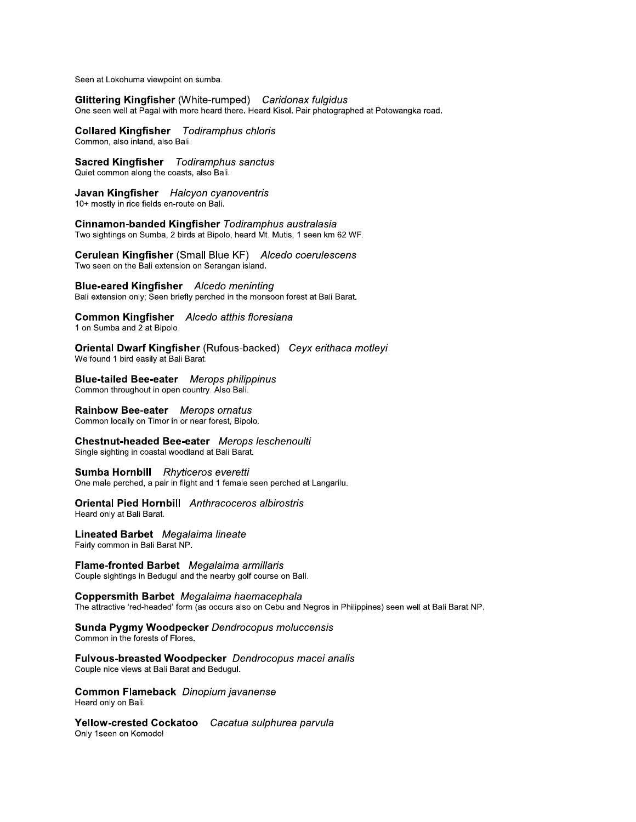Seen at Lokohuma viewpoint on sumba.

Glittering Kingfisher (White-rumped) Caridonax fulgidus One seen well at Pagal with more heard there. Heard Kisol. Pair photographed at Potowangka road.

**Collared Kingfisher** Todiramphus chloris Common, also inland, also Bali.

**Sacred Kingfisher** Todiramphus sanctus Quiet common along the coasts, also Bali.

Javan Kingfisher Halcyon cyanoventris 10+ mostly in rice fields en-route on Bali.

Cinnamon-banded Kingfisher Todiramphus australasia Two sightings on Sumba, 2 birds at Bipolo, heard Mt. Mutis, 1 seen km 62 WF.

Cerulean Kingfisher (Small Blue KF) Alcedo coerulescens Two seen on the Bali extension on Serangan island.

**Blue-eared Kingfisher** Alcedo meninting Bali extension only; Seen briefly perched in the monsoon forest at Bali Barat.

Common Kingfisher Alcedo atthis floresiana 1 on Sumba and 2 at Bipolo

Oriental Dwarf Kingfisher (Rufous-backed) Ceyx erithaca motleyi We found 1 bird easily at Bali Barat.

**Blue-tailed Bee-eater** Merops philippinus Common throughout in open country. Also Bali.

Rainbow Bee-eater Merops ornatus Common locally on Timor in or near forest, Bipolo.

Chestnut-headed Bee-eater Merops leschenoulti Single sighting in coastal woodland at Bali Barat.

Sumba Hornbill Rhyticeros everetti One male perched, a pair in flight and 1 female seen perched at Langarilu.

**Oriental Pied Hornbill** Anthracoceros albirostris Heard only at Bali Barat.

**Lineated Barbet** Megalaima lineate Fairly common in Bali Barat NP.

Flame-fronted Barbet Megalaima armillaris Couple sightings in Bedugul and the nearby golf course on Bali.

Coppersmith Barbet Megalaima haemacephala The attractive 'red-headed' form (as occurs also on Cebu and Negros in Philippines) seen well at Bali Barat NP.

Sunda Pygmy Woodpecker Dendrocopus moluccensis Common in the forests of Flores.

Fulvous-breasted Woodpecker Dendrocopus macei analis Couple nice views at Bali Barat and Bedugul.

Common Flameback Dinopium javanense Heard only on Bali.

Yellow-crested Cockatoo Cacatua sulphurea parvula Only 1seen on Komodo!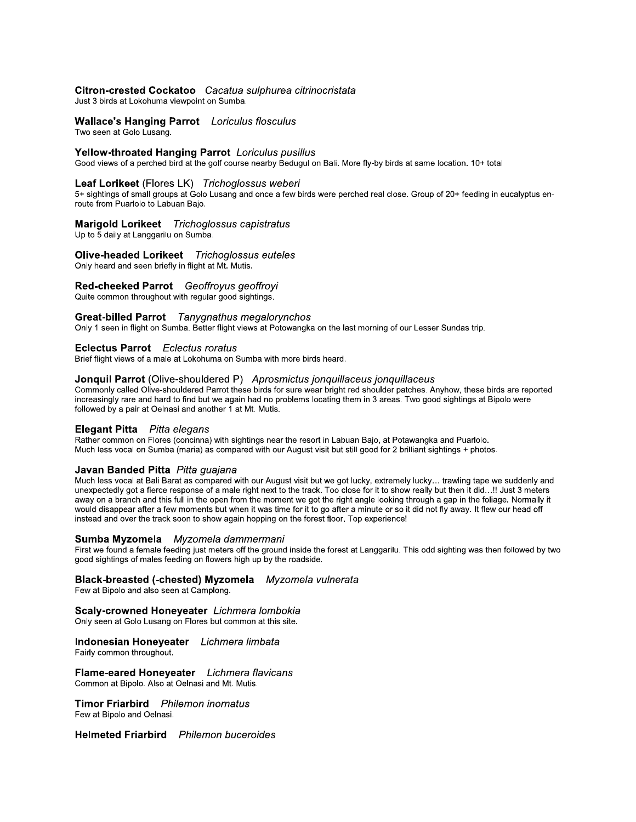# Citron-crested Cockatoo Cacatua sulphurea citrinocristata

Just 3 birds at Lokohuma viewpoint on Sumba.

**Wallace's Hanging Parrot** Loriculus flosculus Two seen at Golo Lusang.

#### Yellow-throated Hanging Parrot Loriculus pusillus

Good views of a perched bird at the golf course nearby Bedugul on Bali. More fly-by birds at same location. 10+ total

### Leaf Lorikeet (Flores LK) Trichoglossus weberi

5+ sightings of small groups at Golo Lusang and once a few birds were perched real close. Group of 20+ feeding in eucalyptus enroute from Puarlolo to Labuan Bajo.

## Marigold Lorikeet Trichoglossus capistratus

Up to 5 daily at Langgarilu on Sumba.

**Olive-headed Lorikeet** Trichoglossus euteles Only heard and seen briefly in flight at Mt. Mutis.

Red-cheeked Parrot Geoffroyus geoffroyi

Quite common throughout with regular good sightings.

## Great-billed Parrot Tanygnathus megalorynchos

Only 1 seen in flight on Sumba. Better flight views at Potowangka on the last morning of our Lesser Sundas trip.

## **Eclectus Parrot** Eclectus roratus

Brief flight views of a male at Lokohuma on Sumba with more birds heard.

## Jonquil Parrot (Olive-shouldered P) Aprosmictus jonquillaceus jonquillaceus

Commonly called Olive-shouldered Parrot these birds for sure wear bright red shoulder patches. Anyhow, these birds are reported increasingly rare and hard to find but we again had no problems locating them in 3 areas. Two good sightings at Bipolo were followed by a pair at Oelnasi and another 1 at Mt. Mutis.

## **Elegant Pitta** Pitta elegans

Rather common on Flores (concinna) with sightings near the resort in Labuan Bajo, at Potawangka and Puarlolo. Much less vocal on Sumba (maria) as compared with our August visit but still good for 2 brilliant sightings + photos.

# Javan Banded Pitta Pitta guajana

Much less vocal at Bali Barat as compared with our August visit but we got lucky, extremely lucky... trawling tape we suddenly and unexpectedly got a fierce response of a male right next to the track. Too close for it to show really but then it did...!! Just 3 meters away on a branch and this full in the open from the moment we got the right angle looking through a gap in the foliage. Normally it would disappear after a few moments but when it was time for it to go after a minute or so it did not fly away. It flew our head off instead and over the track soon to show again hopping on the forest floor. Top experience!

#### Sumba Myzomela Myzomela dammermani

First we found a female feeding just meters off the ground inside the forest at Langgarilu. This odd sighting was then followed by two good sightings of males feeding on flowers high up by the roadside.

## Black-breasted (-chested) Myzomela Myzomela vulnerata

Few at Bipolo and also seen at Camplong.

### Scaly-crowned Honeyeater Lichmera lombokia

Only seen at Golo Lusang on Flores but common at this site.

### Indonesian Honeyeater Lichmera limbata

Fairly common throughout.

Flame-eared Honeyeater Lichmera flavicans Common at Bipolo. Also at Oelnasi and Mt. Mutis.

**Timor Friarbird** Philemon inornatus Few at Bipolo and Oelnasi.

**Helmeted Friarbird** Philemon buceroides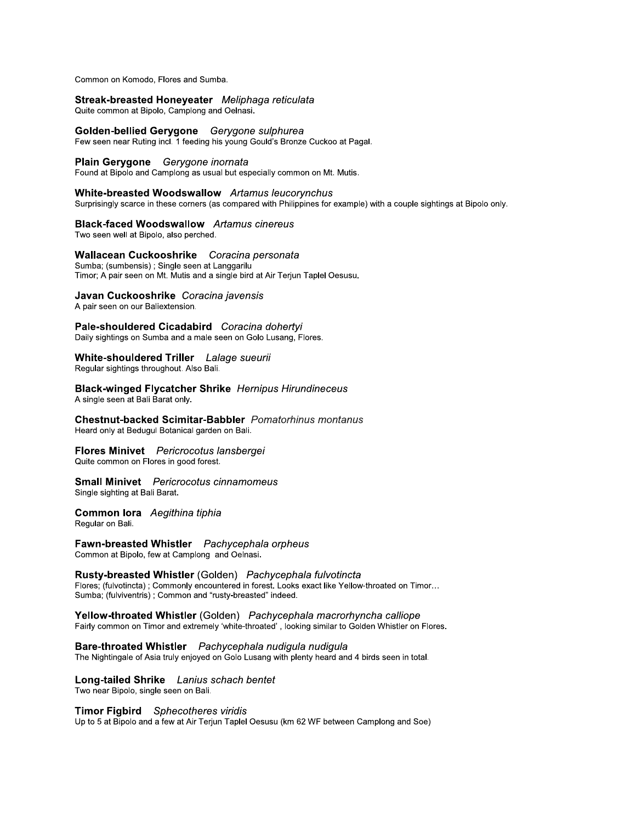Common on Komodo, Flores and Sumba.

## Streak-breasted Honeyeater Meliphaga reticulata

Quite common at Bipolo, Camplong and Oelnasi.

Golden-bellied Gerygone Gerygone sulphurea Few seen near Ruting incl. 1 feeding his young Gould's Bronze Cuckoo at Pagal.

#### Plain Gerygone Gerygone inornata

Found at Bipolo and Camplong as usual but especially common on Mt. Mutis.

#### White-breasted Woodswallow Artamus leucorynchus

Surprisingly scarce in these corners (as compared with Philippines for example) with a couple sightings at Bipolo only.

### **Black-faced Woodswallow** Artamus cinereus

Two seen well at Bipolo, also perched.

Wallacean Cuckooshrike Coracina personata Sumba; (sumbensis) ; Single seen at Langgarilu Timor; A pair seen on Mt. Mutis and a single bird at Air Terjun Taplel Oesusu.

#### Javan Cuckooshrike Coracina javensis

A pair seen on our Baliextension.

Pale-shouldered Cicadabird Coracina dohertyi Daily sightings on Sumba and a male seen on Golo Lusang, Flores.

# White-shouldered Triller Lalage sueurii

Regular sightings throughout. Also Bali.

**Black-winged Flycatcher Shrike** Hernipus Hirundineceus A single seen at Bali Barat only.

**Chestnut-backed Scimitar-Babbler** Pomatorhinus montanus Heard only at Bedugul Botanical garden on Bali.

# Flores Minivet Pericrocotus lansbergei

Quite common on Flores in good forest.

#### **Small Minivet** Pericrocotus cinnamomeus Single sighting at Bali Barat.

Common lora Aegithina tiphia

Regular on Bali.

# Fawn-breasted Whistler Pachycephala orpheus

Common at Bipolo, few at Camplong and Oelnasi.

## Rusty-breasted Whistler (Golden) Pachycephala fulvotincta

Flores; (fulvotincta) ; Commonly encountered in forest. Looks exact like Yellow-throated on Timor... Sumba; (fulviventris) ; Common and "rusty-breasted" indeed.

#### Yellow-throated Whistler (Golden) Pachycephala macrorhyncha calliope Fairly common on Timor and extremely 'white-throated', looking similar to Golden Whistler on Flores.

## Bare-throated Whistler Pachycephala nudigula nudigula

The Nightingale of Asia truly enjoyed on Golo Lusang with plenty heard and 4 birds seen in total.

### Long-tailed Shrike Lanius schach bentet Two near Bipolo, single seen on Bali.

#### Timor Figbird Sphecotheres viridis

Up to 5 at Bipolo and a few at Air Teriun Taplel Oesusu (km 62 WF between Camplong and Soe)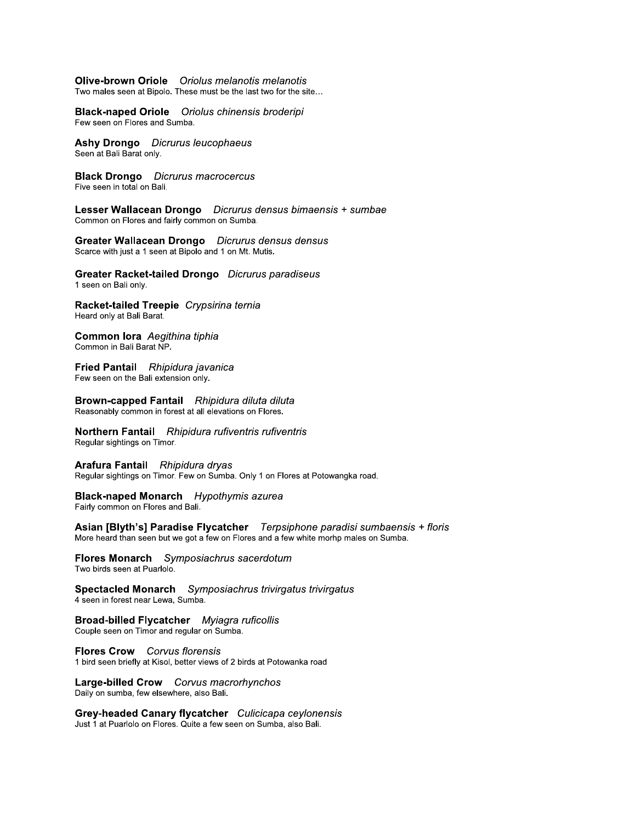# Olive-brown Oriole Oriolus melanotis melanotis

Two males seen at Bipolo. These must be the last two for the site...

**Black-naped Oriole** Oriolus chinensis broderipi Few seen on Flores and Sumba.

**Ashy Drongo** Dicrurus leucophaeus Seen at Bali Barat only.

**Black Drongo** Dicrurus macrocercus Five seen in total on Bali.

Lesser Wallacean Drongo Dicrurus densus bimaensis + sumbae Common on Flores and fairly common on Sumba.

Greater Wallacean Drongo Dicrurus densus densus Scarce with just a 1 seen at Bipolo and 1 on Mt. Mutis.

Greater Racket-tailed Drongo Dicrurus paradiseus 1 seen on Bali only.

Racket-tailed Treepie Crypsirina ternia Heard only at Bali Barat.

Common lora Aegithina tiphia Common in Bali Barat NP.

Fried Pantail Rhipidura javanica Few seen on the Bali extension only.

Brown-capped Fantail Rhipidura diluta diluta Reasonably common in forest at all elevations on Flores.

Northern Fantail Rhipidura rufiventris rufiventris Regular sightings on Timor.

Arafura Fantail Rhipidura dryas Regular sightings on Timor. Few on Sumba. Only 1 on Flores at Potowangka road.

**Black-naped Monarch** Hypothymis azurea Fairly common on Flores and Bali.

Asian [Blyth's] Paradise Flycatcher Terpsiphone paradisi sumbaensis + floris More heard than seen but we got a few on Flores and a few white morhp males on Sumba.

Flores Monarch Symposiachrus sacerdotum Two birds seen at Puarlolo.

**Spectacled Monarch** Symposiachrus trivirgatus trivirgatus 4 seen in forest near Lewa, Sumba.

**Broad-billed Flycatcher** Myiagra ruficollis Couple seen on Timor and regular on Sumba.

**Flores Crow** Corvus florensis 1 bird seen briefly at Kisol, better views of 2 birds at Potowanka road

Large-billed Crow Corvus macrorhynchos Daily on sumba, few elsewhere, also Bali.

Grey-headed Canary flycatcher Culicicapa ceylonensis Just 1 at Puarlolo on Flores. Quite a few seen on Sumba, also Bali.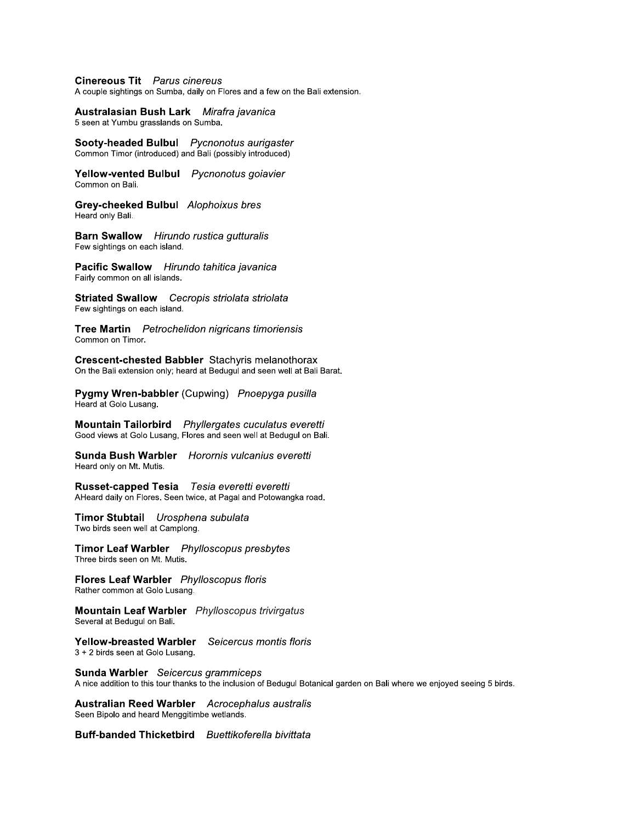## **Cinereous Tit** Parus cinereus

A couple sightings on Sumba, daily on Flores and a few on the Bali extension.

## Australasian Bush Lark Mirafra javanica

5 seen at Yumbu grasslands on Sumba.

Sooty-headed Bulbul Pycnonotus aurigaster Common Timor (introduced) and Bali (possibly introduced)

Yellow-vented Bulbul Pycnonotus goiavier Common on Bali.

Grey-cheeked Bulbul Alophoixus bres Heard only Bali.

**Barn Swallow** Hirundo rustica gutturalis Few sightings on each island.

Pacific Swallow Hirundo tahitica javanica Fairly common on all islands.

**Striated Swallow** Cecropis striolata striolata Few sightings on each island.

Tree Martin Petrochelidon nigricans timoriensis Common on Timor.

**Crescent-chested Babbler** Stachyris melanothorax On the Bali extension only; heard at Bedugul and seen well at Bali Barat.

Pygmy Wren-babbler (Cupwing) Pnoepyga pusilla Heard at Golo Lusang.

Mountain Tailorbird Phyllergates cuculatus everetti Good views at Golo Lusang, Flores and seen well at Bedugul on Bali.

Sunda Bush Warbler Horornis vulcanius everetti Heard only on Mt. Mutis.

Russet-capped Tesia Tesia everetti everetti AHeard daily on Flores. Seen twice, at Pagal and Potowangka road.

Timor Stubtail Urosphena subulata Two birds seen well at Camplong.

Timor Leaf Warbler Phylloscopus presbytes Three birds seen on Mt. Mutis.

Flores Leaf Warbler Phylloscopus floris Rather common at Golo Lusang.

Mountain Leaf Warbler Phylloscopus trivirgatus Several at Bedugul on Bali.

Yellow-breasted Warbler Seicercus montis floris 3 + 2 birds seen at Golo Lusang.

Sunda Warbler Seicercus grammiceps A nice addition to this tour thanks to the inclusion of Bedugul Botanical garden on Bali where we enjoyed seeing 5 birds.

**Australian Reed Warbler** Acrocephalus australis Seen Bipolo and heard Menggitimbe wetlands.

Buff-banded Thicketbird Buettikoferella bivittata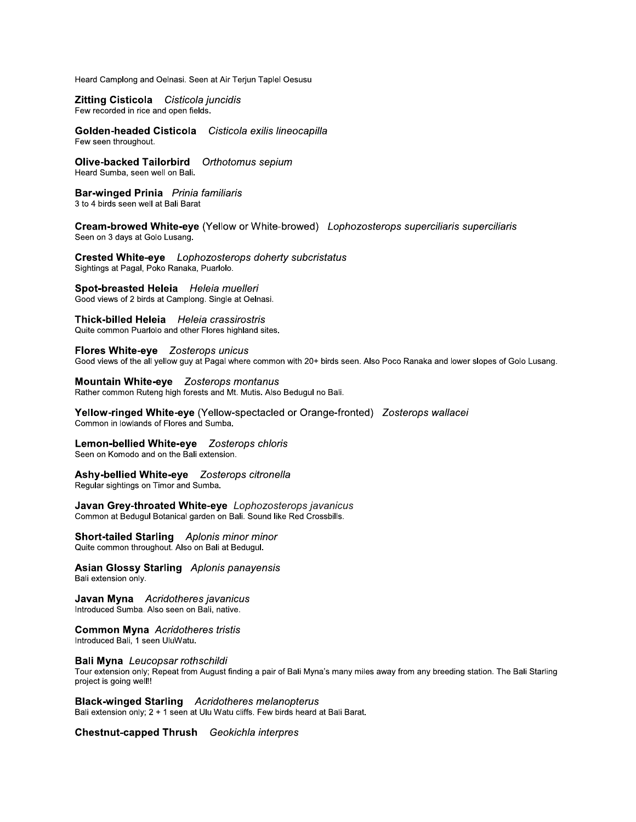Heard Camplong and Oelnasi. Seen at Air Terjun Taplel Oesusu

Zitting Cisticola Cisticola juncidis Few recorded in rice and open fields.

Golden-headed Cisticola Cisticola exilis lineocapilla Few seen throughout.

Olive-backed Tailorbird Orthotomus sepium Heard Sumba, seen well on Bali.

Bar-winged Prinia Prinia familiaris 3 to 4 birds seen well at Bali Barat

Cream-browed White-eye (Yellow or White-browed) Lophozosterops superciliaris superciliaris Seen on 3 days at Golo Lusang.

Crested White-eye Lophozosterops doherty subcristatus Sightings at Pagal, Poko Ranaka, Puarlolo.

Spot-breasted Heleia Heleia muelleri Good views of 2 birds at Camplong. Single at Oelnasi.

Thick-billed Heleia Heleia crassirostris Quite common Puarlolo and other Flores highland sites.

**Flores White-eve Zosterops unicus** Good views of the all yellow guy at Pagal where common with 20+ birds seen. Also Poco Ranaka and lower slopes of Golo Lusang.

Mountain White-eye Zosterops montanus Rather common Ruteng high forests and Mt. Mutis. Also Bedugul no Bali.

Yellow-ringed White-eye (Yellow-spectacled or Orange-fronted) Zosterops wallacei Common in lowlands of Flores and Sumba.

Lemon-bellied White-eye Zosterops chloris Seen on Komodo and on the Bali extension.

Ashy-bellied White-eye Zosterops citronella Regular sightings on Timor and Sumba.

Javan Grey-throated White-eye Lophozosterops javanicus Common at Bedugul Botanical garden on Bali. Sound like Red Crossbills.

**Short-tailed Starling** Aplonis minor minor<br>Quite common throughout. Also on Bali at Bedugul.

**Asian Glossy Starling** Aplonis panayensis Bali extension only.

Javan Myna Acridotheres javanicus Introduced Sumba. Also seen on Bali, native.

**Common Myna** Acridotheres tristis Introduced Bali, 1 seen UluWatu.

Bali Myna Leucopsar rothschildi

Tour extension only; Repeat from August finding a pair of Bali Myna's many miles away from any breeding station. The Bali Starling project is going well!!

**Black-winged Starling** Acridotheres melanopterus Bali extension only; 2 + 1 seen at Ulu Watu cliffs. Few birds heard at Bali Barat.

Chestnut-capped Thrush Geokichla interpres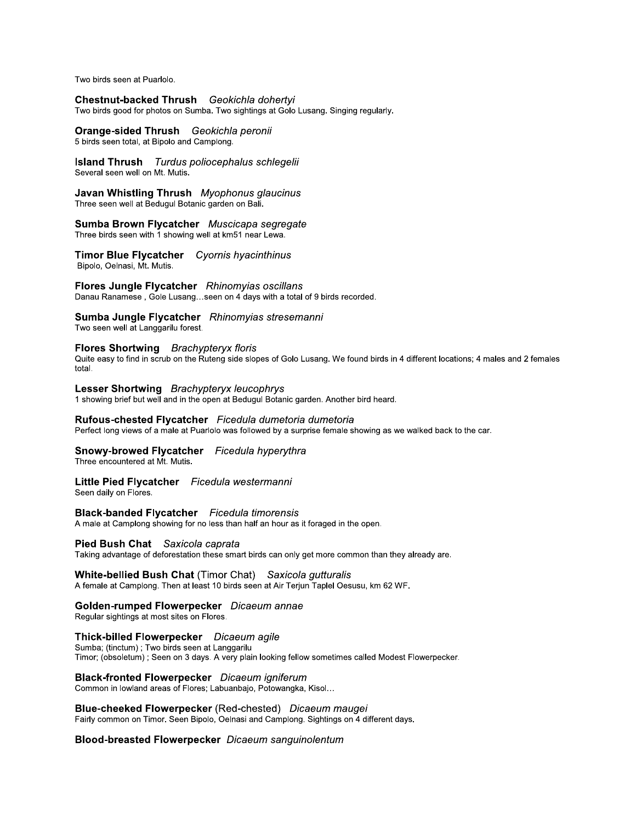Two birds seen at Puarlolo.

Chestnut-backed Thrush Geokichla dohertyi Two birds good for photos on Sumba. Two sightings at Golo Lusang. Singing regularly.

Orange-sided Thrush Geokichla peronii

5 birds seen total, at Bipolo and Camplong.

**Island Thrush** Turdus poliocephalus schlegelii Several seen well on Mt. Mutis.

Javan Whistling Thrush Myophonus glaucinus Three seen well at Bedugul Botanic garden on Bali.

Sumba Brown Flycatcher Muscicapa segregate Three birds seen with 1 showing well at km51 near Lewa.

Timor Blue Flycatcher Cyornis hyacinthinus Bipolo, Oelnasi, Mt. Mutis.

Flores Jungle Flycatcher Rhinomyias oscillans Danau Ranamese, Gole Lusang...seen on 4 days with a total of 9 birds recorded.

Sumba Jungle Flycatcher Rhinomyias stresemanni

Two seen well at Langgarilu forest.

## Flores Shortwing Brachypteryx floris

Quite easy to find in scrub on the Ruteng side slopes of Golo Lusang. We found birds in 4 different locations; 4 males and 2 females total.

Lesser Shortwing Brachypteryx leucophrys 1 showing brief but well and in the open at Bedugul Botanic garden. Another bird heard.

Rufous-chested Flycatcher Ficedula dumetoria dumetoria Perfect long views of a male at Puarlolo was followed by a surprise female showing as we walked back to the car.

Snowy-browed Flycatcher Ficedula hyperythra

Three encountered at Mt. Mutis.

## Little Pied Flycatcher Ficedula westermanni

Seen daily on Flores.

**Black-banded Flycatcher** Ficedula timorensis A male at Camplong showing for no less than half an hour as it foraged in the open.

Pied Bush Chat Saxicola caprata

Taking advantage of deforestation these smart birds can only get more common than they already are.

**White-bellied Bush Chat (Timor Chat)** Saxicola gutturalis

A female at Camplong. Then at least 10 birds seen at Air Terjun Taplel Oesusu, km 62 WF.

## Golden-rumped Flowerpecker Dicaeum annae

Regular sightings at most sites on Flores.

Thick-billed Flowerpecker Dicaeum agile

Sumba; (tinctum) ; Two birds seen at Langgarilu Timor; (obsoletum) ; Seen on 3 days. A very plain looking fellow sometimes called Modest Flowerpecker.

**Black-fronted Flowerpecker** Dicaeum igniferum

Common in lowland areas of Flores; Labuanbajo, Potowangka, Kisol...

Blue-cheeked Flowerpecker (Red-chested) Dicaeum maugei Fairly common on Timor. Seen Bipolo, Oelnasi and Camplong. Sightings on 4 different days.

**Blood-breasted Flowerpecker** Dicaeum sanguinolentum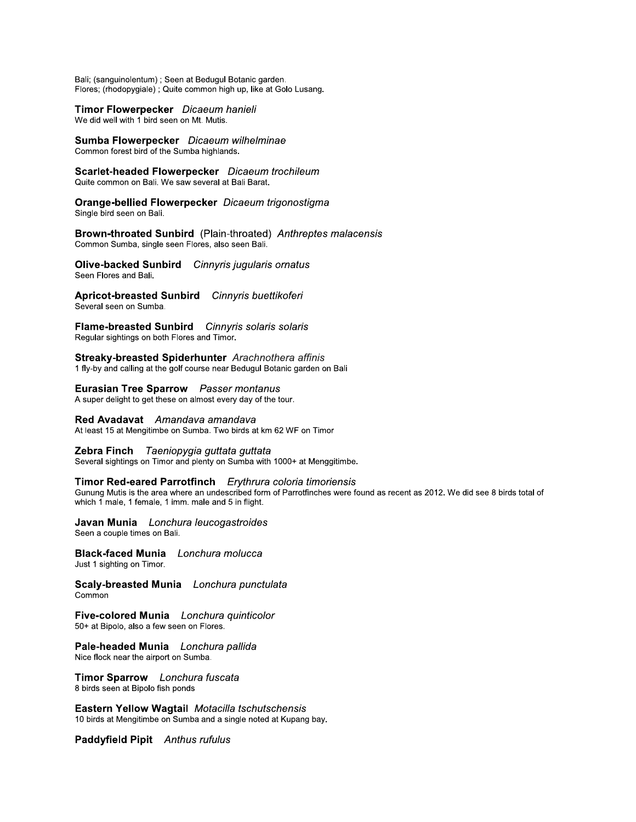Bali; (sanguinolentum) ; Seen at Bedugul Botanic garden. Flores; (rhodopygiale); Quite common high up, like at Golo Lusang.

Timor Flowerpecker Dicaeum hanieli

We did well with 1 bird seen on Mt. Mutis.

Sumba Flowerpecker Dicaeum wilhelminae Common forest bird of the Sumba highlands.

Scarlet-headed Flowerpecker Dicaeum trochileum Quite common on Bali. We saw several at Bali Barat.

Orange-bellied Flowerpecker Dicaeum trigonostigma Single bird seen on Bali.

Brown-throated Sunbird (Plain-throated) Anthreptes malacensis Common Sumba, single seen Flores, also seen Bali.

Olive-backed Sunbird Cinnyris jugularis ornatus Seen Flores and Bali.

Apricot-breasted Sunbird Cinnyris buettikoferi Several seen on Sumba.

Flame-breasted Sunbird Cinnyris solaris solaris Regular sightings on both Flores and Timor.

Streaky-breasted Spiderhunter Arachnothera affinis 1 fly-by and calling at the golf course near Bedugul Botanic garden on Bali

Eurasian Tree Sparrow Passer montanus A super delight to get these on almost every day of the tour.

Red Avadavat Amandava amandava At least 15 at Mengitimbe on Sumba. Two birds at km 62 WF on Timor

Zebra Finch Taeniopygia guttata guttata Several sightings on Timor and plenty on Sumba with 1000+ at Menggitimbe.

## Timor Red-eared Parrotfinch Erythrura coloria timoriensis

Gunung Mutis is the area where an undescribed form of Parrotfinches were found as recent as 2012. We did see 8 birds total of which 1 male, 1 female, 1 imm. male and 5 in flight.

Javan Munia Lonchura leucogastroides Seen a couple times on Bali.

**Black-faced Munia** Lonchura molucca Just 1 sighting on Timor.

Scaly-breasted Munia Lonchura punctulata Common

Five-colored Munia Lonchura quinticolor 50+ at Bipolo, also a few seen on Flores.

Pale-headed Munia Lonchura pallida Nice flock near the airport on Sumba.

Timor Sparrow Lonchura fuscata 8 birds seen at Bipolo fish ponds

Eastern Yellow Wagtail Motacilla tschutschensis 10 birds at Mengitimbe on Sumba and a single noted at Kupang bay.

Paddyfield Pipit Anthus rufulus